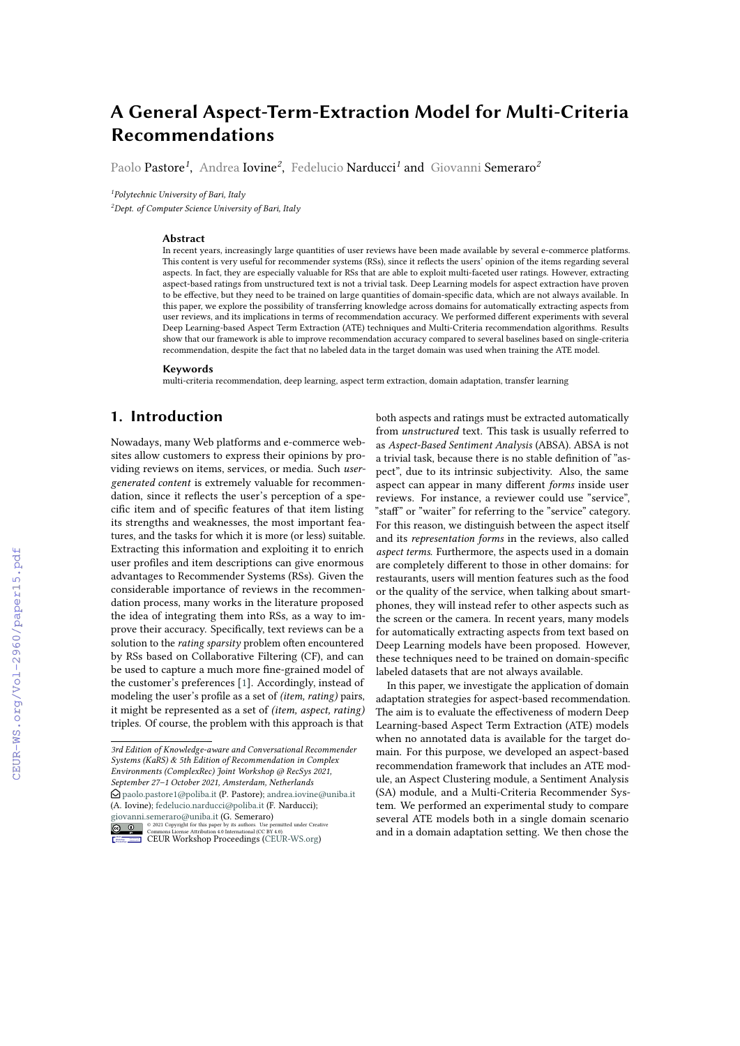# **A General Aspect-Term-Extraction Model for Multi-Criteria Recommendations**

Paolo Pastore*<sup>1</sup>* , Andrea Iovine*<sup>2</sup>* , Fedelucio Narducci*<sup>1</sup>* and Giovanni Semeraro*<sup>2</sup>*

*1 Polytechnic University of Bari, Italy*

*<sup>2</sup>Dept. of Computer Science University of Bari, Italy*

### **Abstract**

In recent years, increasingly large quantities of user reviews have been made available by several e-commerce platforms. This content is very useful for recommender systems (RSs), since it reflects the users' opinion of the items regarding several aspects. In fact, they are especially valuable for RSs that are able to exploit multi-faceted user ratings. However, extracting aspect-based ratings from unstructured text is not a trivial task. Deep Learning models for aspect extraction have proven to be effective, but they need to be trained on large quantities of domain-specific data, which are not always available. In this paper, we explore the possibility of transferring knowledge across domains for automatically extracting aspects from user reviews, and its implications in terms of recommendation accuracy. We performed different experiments with several Deep Learning-based Aspect Term Extraction (ATE) techniques and Multi-Criteria recommendation algorithms. Results show that our framework is able to improve recommendation accuracy compared to several baselines based on single-criteria recommendation, despite the fact that no labeled data in the target domain was used when training the ATE model.

#### **Keywords**

multi-criteria recommendation, deep learning, aspect term extraction, domain adaptation, transfer learning

# **1. Introduction**

Nowadays, many Web platforms and e-commerce websites allow customers to express their opinions by providing reviews on items, services, or media. Such *usergenerated content* is extremely valuable for recommendation, since it reflects the user's perception of a specific item and of specific features of that item listing its strengths and weaknesses, the most important features, and the tasks for which it is more (or less) suitable. Extracting this information and exploiting it to enrich user profiles and item descriptions can give enormous advantages to Recommender Systems (RSs). Given the considerable importance of reviews in the recommendation process, many works in the literature proposed the idea of integrating them into RSs, as a way to improve their accuracy. Specifically, text reviews can be a solution to the *rating sparsity* problem often encountered by RSs based on Collaborative Filtering (CF), and can be used to capture a much more fine-grained model of the customer's preferences [\[1\]](#page--1-0). Accordingly, instead of modeling the user's profile as a set of *(item, rating)* pairs, it might be represented as a set of *(item, aspect, rating)* triples. Of course, the problem with this approach is that

*<sup>3</sup>rd Edition of Knowledge-aware and Conversational Recommender Systems (KaRS) & 5th Edition of Recommendation in Complex Environments (ComplexRec) Joint Workshop @ RecSys 2021, September 27–1 October 2021, Amsterdam, Netherlands*  $\bigcirc$  [paolo.pastore1@poliba.it](mailto:paolo.pastore1@poliba.it) (P. Pastore); [andrea.iovine@uniba.it](mailto:andrea.iovine@uniba.it) (A. Iovine); [fedelucio.narducci@poliba.it](mailto:fedelucio.narducci@poliba.it) (F. Narducci); [giovanni.semeraro@uniba.it](mailto:giovanni.semeraro@uniba.it) (G. Semeraro)



**O** 2021 Copyright for this paper by its authors. Use permitted under Creative<br>
Commons License Attribution 4.0 International (CC BY 4.0).<br>
CEUR Workshop [Proceedings](http://ceur-ws.org) [\(CEUR-WS.org\)](http://ceur-ws.org)

both aspects and ratings must be extracted automatically from *unstructured* text. This task is usually referred to as *Aspect-Based Sentiment Analysis* (ABSA). ABSA is not a trivial task, because there is no stable definition of "aspect", due to its intrinsic subjectivity. Also, the same aspect can appear in many different *forms* inside user reviews. For instance, a reviewer could use "service", "staff" or "waiter" for referring to the "service" category. For this reason, we distinguish between the aspect itself and its *representation forms* in the reviews, also called *aspect terms*. Furthermore, the aspects used in a domain are completely different to those in other domains: for restaurants, users will mention features such as the food or the quality of the service, when talking about smartphones, they will instead refer to other aspects such as the screen or the camera. In recent years, many models for automatically extracting aspects from text based on Deep Learning models have been proposed. However, these techniques need to be trained on domain-specific labeled datasets that are not always available.

In this paper, we investigate the application of domain adaptation strategies for aspect-based recommendation. The aim is to evaluate the effectiveness of modern Deep Learning-based Aspect Term Extraction (ATE) models when no annotated data is available for the target domain. For this purpose, we developed an aspect-based recommendation framework that includes an ATE module, an Aspect Clustering module, a Sentiment Analysis (SA) module, and a Multi-Criteria Recommender System. We performed an experimental study to compare several ATE models both in a single domain scenario and in a domain adaptation setting. We then chose the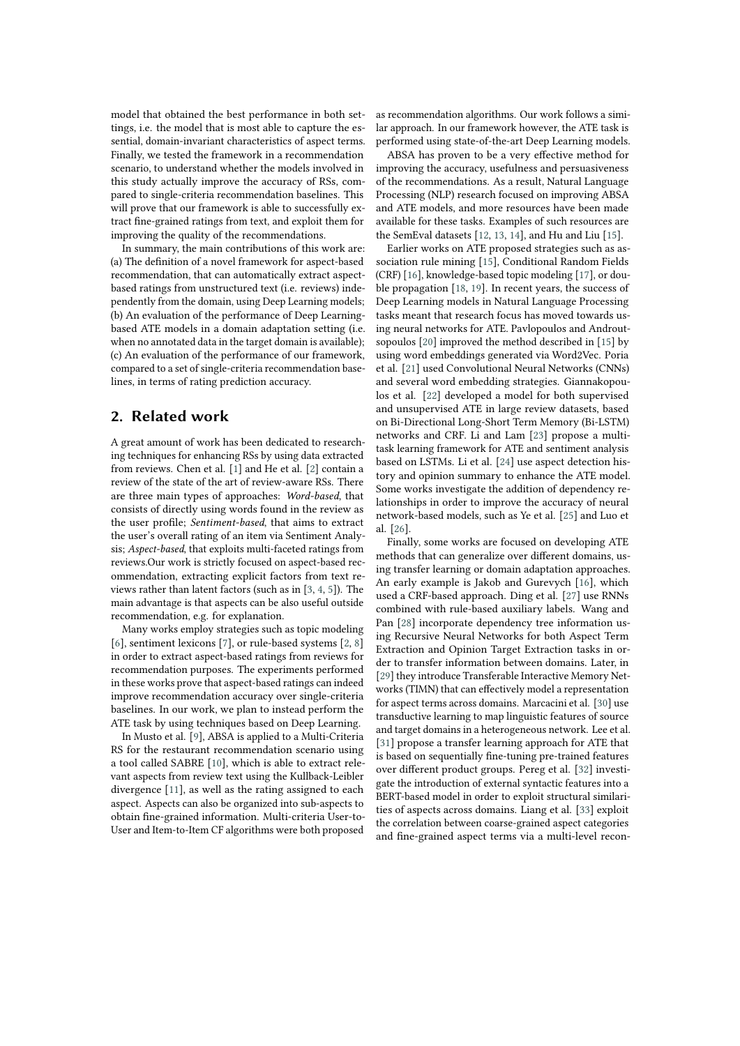model that obtained the best performance in both settings, i.e. the model that is most able to capture the essential, domain-invariant characteristics of aspect terms. Finally, we tested the framework in a recommendation scenario, to understand whether the models involved in this study actually improve the accuracy of RSs, compared to single-criteria recommendation baselines. This will prove that our framework is able to successfully extract fine-grained ratings from text, and exploit them for improving the quality of the recommendations.

In summary, the main contributions of this work are: (a) The definition of a novel framework for aspect-based recommendation, that can automatically extract aspectbased ratings from unstructured text (i.e. reviews) independently from the domain, using Deep Learning models; (b) An evaluation of the performance of Deep Learningbased ATE models in a domain adaptation setting (i.e. when no annotated data in the target domain is available); (c) An evaluation of the performance of our framework, compared to a set of single-criteria recommendation baselines, in terms of rating prediction accuracy.

# **2. Related work**

A great amount of work has been dedicated to researching techniques for enhancing RSs by using data extracted from reviews. Chen et al. [\[1\]](#page-8-0) and He et al. [\[2\]](#page-8-1) contain a review of the state of the art of review-aware RSs. There are three main types of approaches: *Word-based*, that consists of directly using words found in the review as the user profile; *Sentiment-based*, that aims to extract the user's overall rating of an item via Sentiment Analysis; *Aspect-based*, that exploits multi-faceted ratings from reviews.Our work is strictly focused on aspect-based recommendation, extracting explicit factors from text reviews rather than latent factors (such as in [\[3,](#page-8-2) [4,](#page-8-3) [5\]](#page-8-4)). The main advantage is that aspects can be also useful outside recommendation, e.g. for explanation.

Many works employ strategies such as topic modeling [\[6\]](#page-8-5), sentiment lexicons [\[7\]](#page-8-6), or rule-based systems [\[2,](#page-8-1) [8\]](#page-8-7) in order to extract aspect-based ratings from reviews for recommendation purposes. The experiments performed in these works prove that aspect-based ratings can indeed improve recommendation accuracy over single-criteria baselines. In our work, we plan to instead perform the ATE task by using techniques based on Deep Learning.

In Musto et al. [\[9\]](#page-8-8), ABSA is applied to a Multi-Criteria RS for the restaurant recommendation scenario using a tool called SABRE [\[10\]](#page-8-9), which is able to extract relevant aspects from review text using the Kullback-Leibler divergence [\[11\]](#page-8-10), as well as the rating assigned to each aspect. Aspects can also be organized into sub-aspects to obtain fine-grained information. Multi-criteria User-to-User and Item-to-Item CF algorithms were both proposed

as recommendation algorithms. Our work follows a similar approach. In our framework however, the ATE task is performed using state-of-the-art Deep Learning models.

ABSA has proven to be a very effective method for improving the accuracy, usefulness and persuasiveness of the recommendations. As a result, Natural Language Processing (NLP) research focused on improving ABSA and ATE models, and more resources have been made available for these tasks. Examples of such resources are the SemEval datasets [\[12,](#page-8-11) [13,](#page-8-12) [14\]](#page-8-13), and Hu and Liu [\[15\]](#page-8-14).

Earlier works on ATE proposed strategies such as association rule mining [\[15\]](#page-8-14), Conditional Random Fields (CRF) [\[16\]](#page-8-15), knowledge-based topic modeling [\[17\]](#page-8-16), or double propagation [\[18,](#page-8-17) [19\]](#page-9-0). In recent years, the success of Deep Learning models in Natural Language Processing tasks meant that research focus has moved towards using neural networks for ATE. Pavlopoulos and Androutsopoulos [\[20\]](#page-9-1) improved the method described in [\[15\]](#page-8-14) by using word embeddings generated via Word2Vec. Poria et al. [\[21\]](#page-9-2) used Convolutional Neural Networks (CNNs) and several word embedding strategies. Giannakopoulos et al. [\[22\]](#page-9-3) developed a model for both supervised and unsupervised ATE in large review datasets, based on Bi-Directional Long-Short Term Memory (Bi-LSTM) networks and CRF. Li and Lam [\[23\]](#page-9-4) propose a multitask learning framework for ATE and sentiment analysis based on LSTMs. Li et al. [\[24\]](#page-9-5) use aspect detection history and opinion summary to enhance the ATE model. Some works investigate the addition of dependency relationships in order to improve the accuracy of neural network-based models, such as Ye et al. [\[25\]](#page-9-6) and Luo et al. [\[26\]](#page-9-7).

Finally, some works are focused on developing ATE methods that can generalize over different domains, using transfer learning or domain adaptation approaches. An early example is Jakob and Gurevych [\[16\]](#page-8-15), which used a CRF-based approach. Ding et al. [\[27\]](#page-9-8) use RNNs combined with rule-based auxiliary labels. Wang and Pan [\[28\]](#page-9-9) incorporate dependency tree information using Recursive Neural Networks for both Aspect Term Extraction and Opinion Target Extraction tasks in order to transfer information between domains. Later, in [\[29\]](#page-9-10) they introduce Transferable Interactive Memory Networks (TIMN) that can effectively model a representation for aspect terms across domains. Marcacini et al. [\[30\]](#page-9-11) use transductive learning to map linguistic features of source and target domains in a heterogeneous network. Lee et al. [\[31\]](#page-9-12) propose a transfer learning approach for ATE that is based on sequentially fine-tuning pre-trained features over different product groups. Pereg et al. [\[32\]](#page-9-13) investigate the introduction of external syntactic features into a BERT-based model in order to exploit structural similarities of aspects across domains. Liang et al. [\[33\]](#page-9-14) exploit the correlation between coarse-grained aspect categories and fine-grained aspect terms via a multi-level recon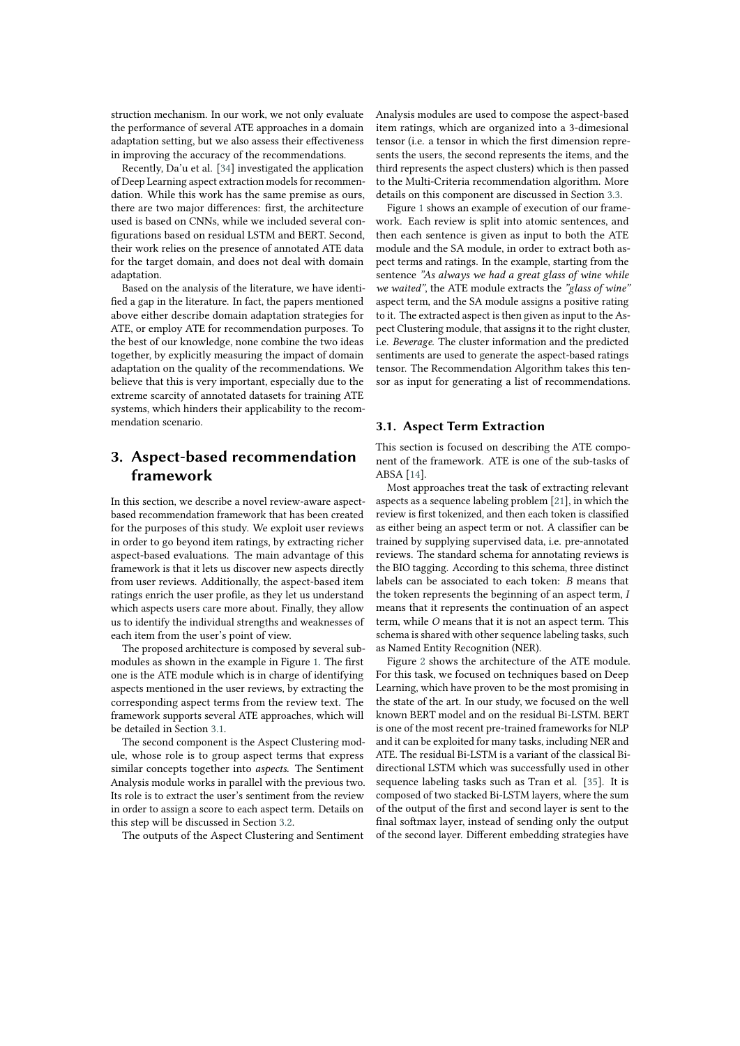struction mechanism. In our work, we not only evaluate the performance of several ATE approaches in a domain adaptation setting, but we also assess their effectiveness in improving the accuracy of the recommendations.

Recently, Da'u et al. [\[34\]](#page-9-15) investigated the application of Deep Learning aspect extraction models for recommendation. While this work has the same premise as ours, there are two major differences: first, the architecture used is based on CNNs, while we included several configurations based on residual LSTM and BERT. Second, their work relies on the presence of annotated ATE data for the target domain, and does not deal with domain adaptation.

Based on the analysis of the literature, we have identified a gap in the literature. In fact, the papers mentioned above either describe domain adaptation strategies for ATE, or employ ATE for recommendation purposes. To the best of our knowledge, none combine the two ideas together, by explicitly measuring the impact of domain adaptation on the quality of the recommendations. We believe that this is very important, especially due to the extreme scarcity of annotated datasets for training ATE systems, which hinders their applicability to the recommendation scenario.

# <span id="page-2-1"></span>**3. Aspect-based recommendation framework**

In this section, we describe a novel review-aware aspectbased recommendation framework that has been created for the purposes of this study. We exploit user reviews in order to go beyond item ratings, by extracting richer aspect-based evaluations. The main advantage of this framework is that it lets us discover new aspects directly from user reviews. Additionally, the aspect-based item ratings enrich the user profile, as they let us understand which aspects users care more about. Finally, they allow us to identify the individual strengths and weaknesses of each item from the user's point of view.

The proposed architecture is composed by several submodules as shown in the example in Figure [1.](#page-3-0) The first one is the ATE module which is in charge of identifying aspects mentioned in the user reviews, by extracting the corresponding aspect terms from the review text. The framework supports several ATE approaches, which will be detailed in Section [3.1.](#page-2-0)

The second component is the Aspect Clustering module, whose role is to group aspect terms that express similar concepts together into *aspects*. The Sentiment Analysis module works in parallel with the previous two. Its role is to extract the user's sentiment from the review in order to assign a score to each aspect term. Details on this step will be discussed in Section [3.2.](#page-3-1)

The outputs of the Aspect Clustering and Sentiment

Analysis modules are used to compose the aspect-based item ratings, which are organized into a 3-dimesional tensor (i.e. a tensor in which the first dimension represents the users, the second represents the items, and the third represents the aspect clusters) which is then passed to the Multi-Criteria recommendation algorithm. More details on this component are discussed in Section [3.3.](#page-4-0)

Figure [1](#page-3-0) shows an example of execution of our framework. Each review is split into atomic sentences, and then each sentence is given as input to both the ATE module and the SA module, in order to extract both aspect terms and ratings. In the example, starting from the sentence *"As always we had a great glass of wine while we waited"*, the ATE module extracts the *"glass of wine"* aspect term, and the SA module assigns a positive rating to it. The extracted aspect is then given as input to the Aspect Clustering module, that assigns it to the right cluster, i.e. *Beverage*. The cluster information and the predicted sentiments are used to generate the aspect-based ratings tensor. The Recommendation Algorithm takes this tensor as input for generating a list of recommendations.

### <span id="page-2-0"></span>**3.1. Aspect Term Extraction**

This section is focused on describing the ATE component of the framework. ATE is one of the sub-tasks of ABSA [\[14\]](#page-8-13).

Most approaches treat the task of extracting relevant aspects as a sequence labeling problem [\[21\]](#page-9-2), in which the review is first tokenized, and then each token is classified as either being an aspect term or not. A classifier can be trained by supplying supervised data, i.e. pre-annotated reviews. The standard schema for annotating reviews is the BIO tagging. According to this schema, three distinct labels can be associated to each token: *B* means that the token represents the beginning of an aspect term, *I* means that it represents the continuation of an aspect term, while *O* means that it is not an aspect term. This schema is shared with other sequence labeling tasks, such as Named Entity Recognition (NER).

Figure [2](#page-4-1) shows the architecture of the ATE module. For this task, we focused on techniques based on Deep Learning, which have proven to be the most promising in the state of the art. In our study, we focused on the well known BERT model and on the residual Bi-LSTM. BERT is one of the most recent pre-trained frameworks for NLP and it can be exploited for many tasks, including NER and ATE. The residual Bi-LSTM is a variant of the classical Bidirectional LSTM which was successfully used in other sequence labeling tasks such as Tran et al. [\[35\]](#page-9-16). It is composed of two stacked Bi-LSTM layers, where the sum of the output of the first and second layer is sent to the final softmax layer, instead of sending only the output of the second layer. Different embedding strategies have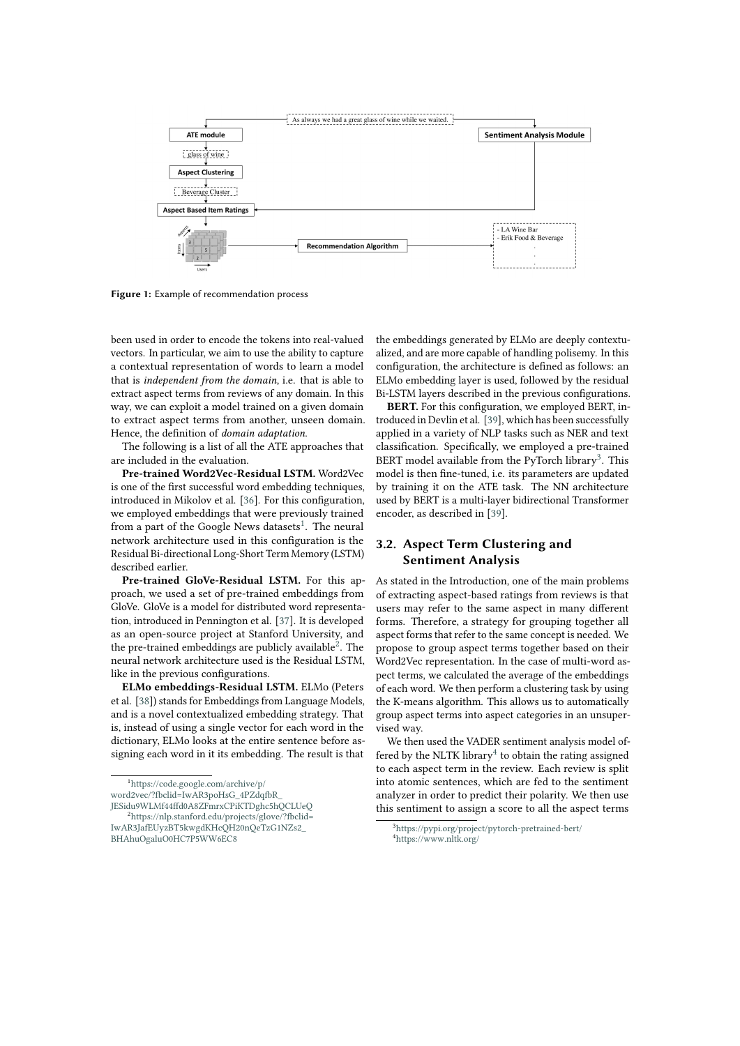

**Figure 1:** Example of recommendation process

been used in order to encode the tokens into real-valued vectors. In particular, we aim to use the ability to capture a contextual representation of words to learn a model that is *independent from the domain*, i.e. that is able to extract aspect terms from reviews of any domain. In this way, we can exploit a model trained on a given domain to extract aspect terms from another, unseen domain. Hence, the definition of *domain adaptation*.

The following is a list of all the ATE approaches that are included in the evaluation.

**Pre-trained Word2Vec-Residual LSTM.** Word2Vec is one of the first successful word embedding techniques, introduced in Mikolov et al. [\[36\]](#page-9-17). For this configuration, we employed embeddings that were previously trained from a part of the Google News datasets<sup>[1](#page-3-2)</sup>. The neural network architecture used in this configuration is the Residual Bi-directional Long-Short Term Memory (LSTM) described earlier.

**Pre-trained GloVe-Residual LSTM.** For this approach, we used a set of pre-trained embeddings from GloVe. GloVe is a model for distributed word representation, introduced in Pennington et al. [\[37\]](#page-10-0). It is developed as an open-source project at Stanford University, and the pre-trained embeddings are publicly available<sup>[2](#page-3-3)</sup>. The neural network architecture used is the Residual LSTM, like in the previous configurations.

**ELMo embeddings-Residual LSTM.** ELMo (Peters et al. [\[38\]](#page-10-1)) stands for Embeddings from Language Models, and is a novel contextualized embedding strategy. That is, instead of using a single vector for each word in the dictionary, ELMo looks at the entire sentence before assigning each word in it its embedding. The result is that

<span id="page-3-3"></span>[JESidu9WLMf44ffd0A8ZFmrxCPiKTDghc5hQCLUeQ](https://code.google.com/archive/p/word2vec/?fbclid=IwAR3poHsG_4PZdqfbR_JESidu9WLMf44ffd0A8ZFmrxCPiKTDghc5hQCLUeQ) <sup>2</sup>[https://nlp.stanford.edu/projects/glove/?fbclid=](https://nlp.stanford.edu/projects/glove/?fbclid=IwAR3JafEUyzBT5kwgdKHcQH20nQeTzG1NZs2_BHAhuOgaluO0HC7P5WW6EC8) <span id="page-3-0"></span>the embeddings generated by ELMo are deeply contextualized, and are more capable of handling polisemy. In this configuration, the architecture is defined as follows: an ELMo embedding layer is used, followed by the residual Bi-LSTM layers described in the previous configurations.

**BERT.** For this configuration, we employed BERT, introduced in Devlin et al. [\[39\]](#page-10-2), which has been successfully applied in a variety of NLP tasks such as NER and text classification. Specifically, we employed a pre-trained BERT model available from the PyTorch library<sup>[3](#page-3-4)</sup>. This model is then fine-tuned, i.e. its parameters are updated by training it on the ATE task. The NN architecture used by BERT is a multi-layer bidirectional Transformer encoder, as described in [\[39\]](#page-10-2).

### <span id="page-3-1"></span>**3.2. Aspect Term Clustering and Sentiment Analysis**

As stated in the Introduction, one of the main problems of extracting aspect-based ratings from reviews is that users may refer to the same aspect in many different forms. Therefore, a strategy for grouping together all aspect forms that refer to the same concept is needed. We propose to group aspect terms together based on their Word2Vec representation. In the case of multi-word aspect terms, we calculated the average of the embeddings of each word. We then perform a clustering task by using the K-means algorithm. This allows us to automatically group aspect terms into aspect categories in an unsupervised way.

We then used the VADER sentiment analysis model of-fered by the NLTK library<sup>[4](#page-3-5)</sup> to obtain the rating assigned to each aspect term in the review. Each review is split into atomic sentences, which are fed to the sentiment analyzer in order to predict their polarity. We then use this sentiment to assign a score to all the aspect terms

<span id="page-3-2"></span><sup>1</sup>[https://code.google.com/archive/p/](https://code.google.com/archive/p/word2vec/?fbclid=IwAR3poHsG_4PZdqfbR_JESidu9WLMf44ffd0A8ZFmrxCPiKTDghc5hQCLUeQ) [word2vec/?fbclid=IwAR3poHsG\\_4PZdqfbR\\_](https://code.google.com/archive/p/word2vec/?fbclid=IwAR3poHsG_4PZdqfbR_JESidu9WLMf44ffd0A8ZFmrxCPiKTDghc5hQCLUeQ)

[IwAR3JafEUyzBT5kwgdKHcQH20nQeTzG1NZs2\\_](https://nlp.stanford.edu/projects/glove/?fbclid=IwAR3JafEUyzBT5kwgdKHcQH20nQeTzG1NZs2_BHAhuOgaluO0HC7P5WW6EC8) [BHAhuOgaluO0HC7P5WW6EC8](https://nlp.stanford.edu/projects/glove/?fbclid=IwAR3JafEUyzBT5kwgdKHcQH20nQeTzG1NZs2_BHAhuOgaluO0HC7P5WW6EC8)

<span id="page-3-5"></span><span id="page-3-4"></span><sup>3</sup><https://pypi.org/project/pytorch-pretrained-bert/> <sup>4</sup><https://www.nltk.org/>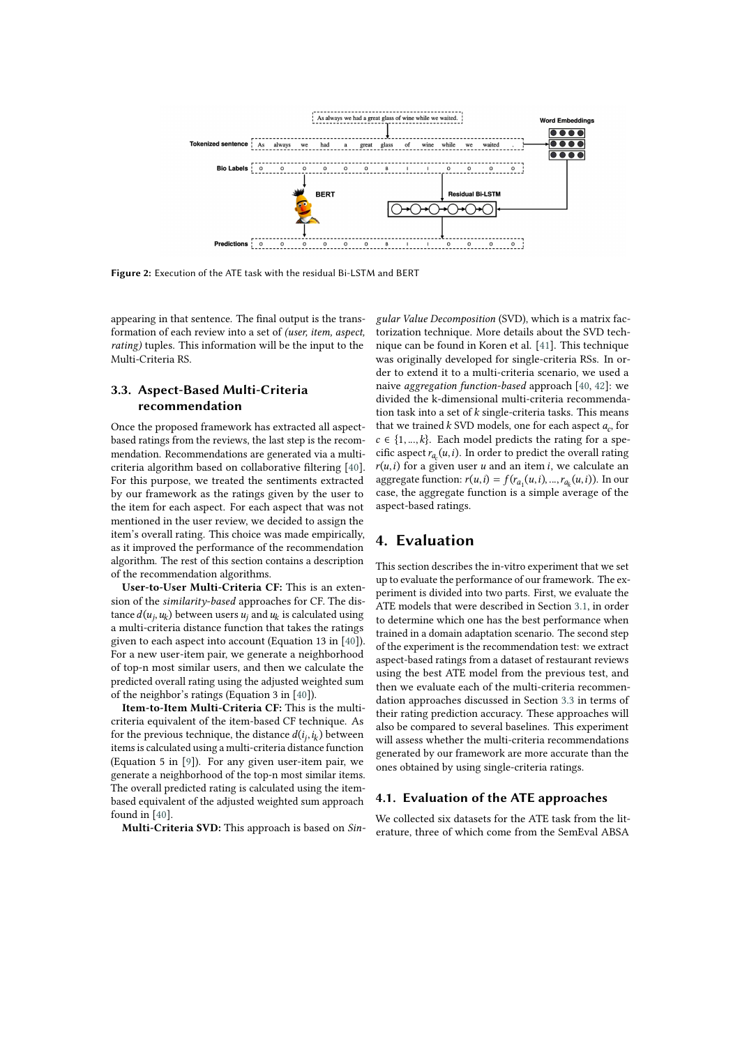

**Figure 2:** Execution of the ATE task with the residual Bi-LSTM and BERT

appearing in that sentence. The final output is the transformation of each review into a set of *(user, item, aspect, rating)* tuples. This information will be the input to the Multi-Criteria RS.

# <span id="page-4-0"></span>**3.3. Aspect-Based Multi-Criteria recommendation**

Once the proposed framework has extracted all aspectbased ratings from the reviews, the last step is the recommendation. Recommendations are generated via a multicriteria algorithm based on collaborative filtering [\[40\]](#page-10-3). For this purpose, we treated the sentiments extracted by our framework as the ratings given by the user to the item for each aspect. For each aspect that was not mentioned in the user review, we decided to assign the item's overall rating. This choice was made empirically, as it improved the performance of the recommendation algorithm. The rest of this section contains a description of the recommendation algorithms.

**User-to-User Multi-Criteria CF:** This is an extension of the *similarity-based* approaches for CF. The distance  $d(u_j, u_k)$  between users  $u_j$  and  $u_k$  is calculated using a multi-criteria distance function that takes the ratings given to each aspect into account (Equation 13 in [\[40\]](#page-10-3)). For a new user-item pair, we generate a neighborhood of top-n most similar users, and then we calculate the predicted overall rating using the adjusted weighted sum of the neighbor's ratings (Equation 3 in [\[40\]](#page-10-3)).

**Item-to-Item Multi-Criteria CF:** This is the multicriteria equivalent of the item-based CF technique. As for the previous technique, the distance  $d(i_j, i_k)$  between items is calculated using a multi-criteria distance function (Equation 5 in [\[9\]](#page-8-8)). For any given user-item pair, we generate a neighborhood of the top-n most similar items. The overall predicted rating is calculated using the itembased equivalent of the adjusted weighted sum approach found in [\[40\]](#page-10-3).

**Multi-Criteria SVD:** This approach is based on *Sin-*

<span id="page-4-1"></span>*gular Value Decomposition* (SVD), which is a matrix factorization technique. More details about the SVD technique can be found in Koren et al. [\[41\]](#page-10-4). This technique was originally developed for single-criteria RSs. In order to extend it to a multi-criteria scenario, we used a naive *aggregation function-based* approach [\[40,](#page-10-3) [42\]](#page-10-5): we divided the k-dimensional multi-criteria recommendation task into a set of  $k$  single-criteria tasks. This means that we trained  $k$  SVD models, one for each aspect  $a_c$ , for  $c \in \{1, ..., k\}$ . Each model predicts the rating for a specific aspect  $r_{a_c}(u, i)$ . In order to predict the overall rating  $r(u, i)$  for a given user  $u$  and an item i, we calculate an aggregate function:  $r(u, i) = f(r_{a_1}(u, i), ..., r_{a_k}(u, i))$ . In our case, the aggregate function is a simple average of the aspect-based ratings.

# **4. Evaluation**

This section describes the in-vitro experiment that we set up to evaluate the performance of our framework. The experiment is divided into two parts. First, we evaluate the ATE models that were described in Section [3.1,](#page-2-0) in order to determine which one has the best performance when trained in a domain adaptation scenario. The second step of the experiment is the recommendation test: we extract aspect-based ratings from a dataset of restaurant reviews using the best ATE model from the previous test, and then we evaluate each of the multi-criteria recommendation approaches discussed in Section [3.3](#page-4-0) in terms of their rating prediction accuracy. These approaches will also be compared to several baselines. This experiment will assess whether the multi-criteria recommendations generated by our framework are more accurate than the ones obtained by using single-criteria ratings.

### <span id="page-4-2"></span>**4.1. Evaluation of the ATE approaches**

We collected six datasets for the ATE task from the literature, three of which come from the SemEval ABSA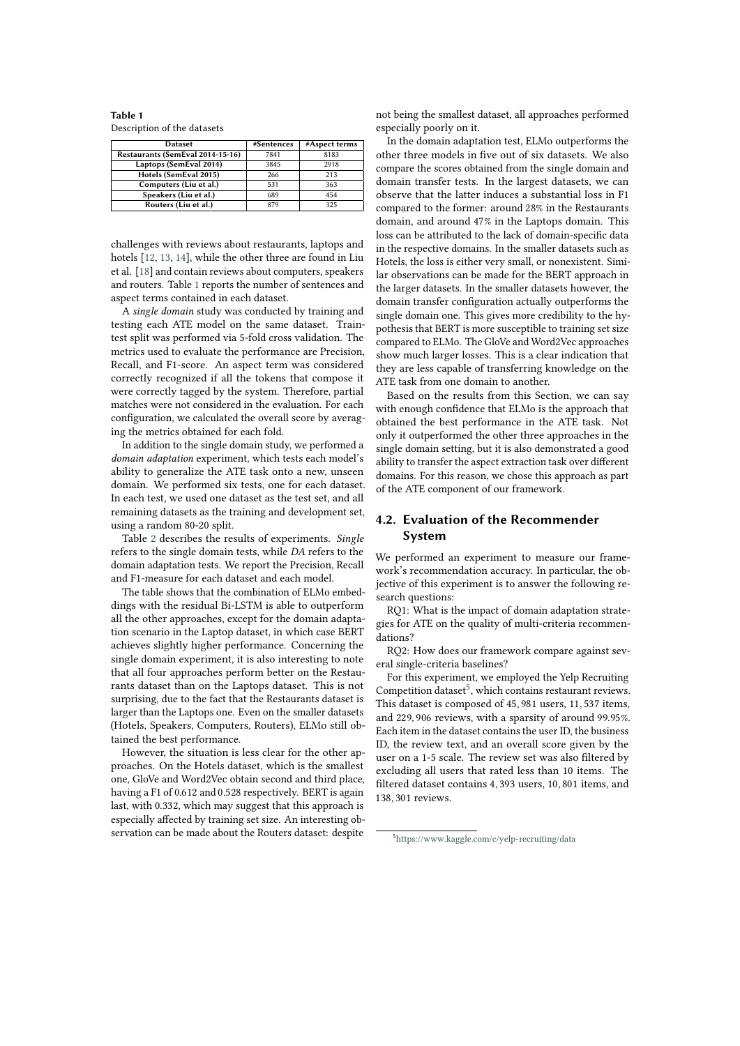<span id="page-5-0"></span>**Table 1** Description of the datasets

| <b>Dataset</b>                   | #Sentences | #Aspect terms |
|----------------------------------|------------|---------------|
| Restaurants (SemEval 2014-15-16) | 7841       | 8183          |
| Laptops (SemEval 2014)           | 3845       | 2918          |
| Hotels (SemEval 2015)            | 266        | 213           |
| Computers (Liu et al.)           | 531        | 363           |
| Speakers (Liu et al.)            | 689        | 454           |
| Routers (Liu et al.)             | 879        | 325           |

challenges with reviews about restaurants, laptops and hotels [\[12,](#page-8-11) [13,](#page-8-12) [14\]](#page-8-13), while the other three are found in Liu et al. [\[18\]](#page-8-17) and contain reviews about computers, speakers and routers. Table [1](#page-5-0) reports the number of sentences and aspect terms contained in each dataset.

A *single domain* study was conducted by training and testing each ATE model on the same dataset. Traintest split was performed via 5-fold cross validation. The metrics used to evaluate the performance are Precision, Recall, and F1-score. An aspect term was considered correctly recognized if all the tokens that compose it were correctly tagged by the system. Therefore, partial matches were not considered in the evaluation. For each configuration, we calculated the overall score by averaging the metrics obtained for each fold.

In addition to the single domain study, we performed a *domain adaptation* experiment, which tests each model's ability to generalize the ATE task onto a new, unseen domain. We performed six tests, one for each dataset. In each test, we used one dataset as the test set, and all remaining datasets as the training and development set, using a random 80-20 split.

Table [2](#page-6-0) describes the results of experiments. *Single* refers to the single domain tests, while *DA* refers to the domain adaptation tests. We report the Precision, Recall and F1-measure for each dataset and each model.

The table shows that the combination of ELMo embeddings with the residual Bi-LSTM is able to outperform all the other approaches, except for the domain adaptation scenario in the Laptop dataset, in which case BERT achieves slightly higher performance. Concerning the single domain experiment, it is also interesting to note that all four approaches perform better on the Restaurants dataset than on the Laptops dataset. This is not surprising, due to the fact that the Restaurants dataset is larger than the Laptops one. Even on the smaller datasets (Hotels, Speakers, Computers, Routers), ELMo still obtained the best performance.

However, the situation is less clear for the other approaches. On the Hotels dataset, which is the smallest one, GloVe and Word2Vec obtain second and third place, having a F1 of 0.612 and 0.528 respectively. BERT is again last, with 0.332, which may suggest that this approach is especially affected by training set size. An interesting observation can be made about the Routers dataset: despite

not being the smallest dataset, all approaches performed especially poorly on it.

In the domain adaptation test, ELMo outperforms the other three models in five out of six datasets. We also compare the scores obtained from the single domain and domain transfer tests. In the largest datasets, we can observe that the latter induces a substantial loss in F1 compared to the former: around 28% in the Restaurants domain, and around 47% in the Laptops domain. This loss can be attributed to the lack of domain-specific data in the respective domains. In the smaller datasets such as Hotels, the loss is either very small, or nonexistent. Similar observations can be made for the BERT approach in the larger datasets. In the smaller datasets however, the domain transfer configuration actually outperforms the single domain one. This gives more credibility to the hypothesis that BERT is more susceptible to training set size compared to ELMo. The GloVe and Word2Vec approaches show much larger losses. This is a clear indication that they are less capable of transferring knowledge on the ATE task from one domain to another.

Based on the results from this Section, we can say with enough confidence that ELMo is the approach that obtained the best performance in the ATE task. Not only it outperformed the other three approaches in the single domain setting, but it is also demonstrated a good ability to transfer the aspect extraction task over different domains. For this reason, we chose this approach as part of the ATE component of our framework.

### **4.2. Evaluation of the Recommender System**

We performed an experiment to measure our framework's recommendation accuracy. In particular, the objective of this experiment is to answer the following research questions:

RQ1: What is the impact of domain adaptation strategies for ATE on the quality of multi-criteria recommendations?

RQ2: How does our framework compare against several single-criteria baselines?

For this experiment, we employed the Yelp Recruiting Competition dataset<sup>[5](#page-5-1)</sup>, which contains restaurant reviews. This dataset is composed of 45, 981 users, 11, 537 items, and 229, 906 reviews, with a sparsity of around 99.95%. Each item in the dataset contains the user ID, the business ID, the review text, and an overall score given by the user on a 1-5 scale. The review set was also filtered by excluding all users that rated less than 10 items. The filtered dataset contains 4, 393 users, 10, 801 items, and 138, 301 reviews.

<span id="page-5-1"></span><sup>5</sup><https://www.kaggle.com/c/yelp-recruiting/data>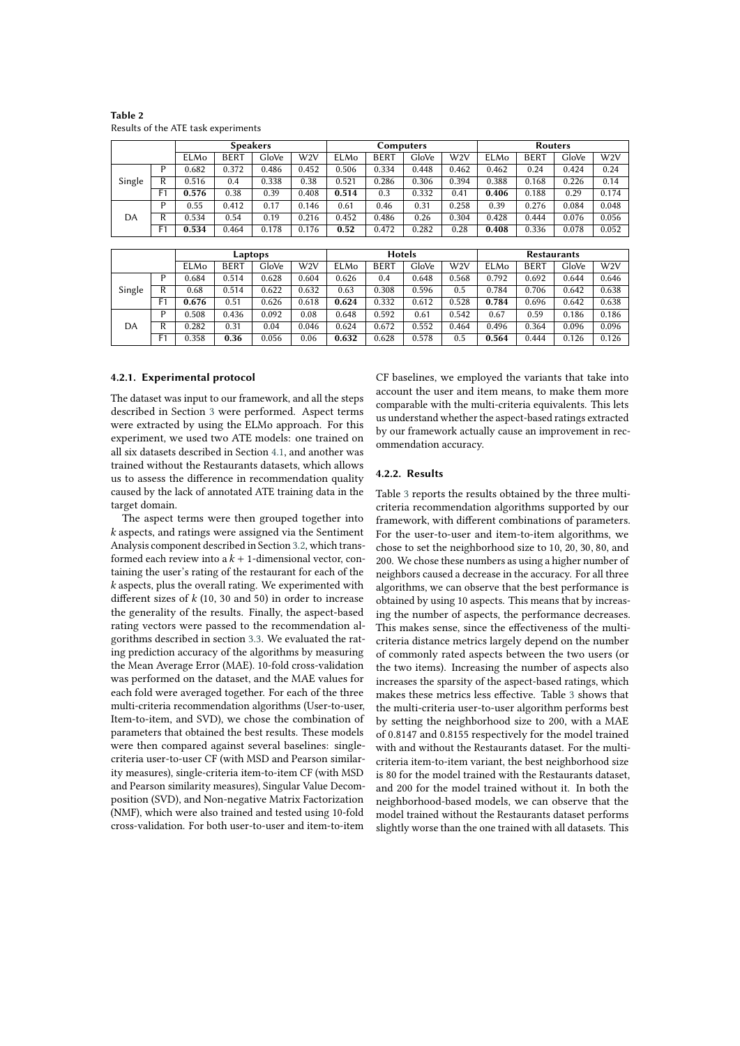|        | <b>Speakers</b> |       |             | <b>Computers</b> |       |       |             | Routers |       |             |             |       |                  |
|--------|-----------------|-------|-------------|------------------|-------|-------|-------------|---------|-------|-------------|-------------|-------|------------------|
|        |                 | ELMo  | <b>BERT</b> | GloVe            | W2V   | ELMo  | <b>BERT</b> | GloVe   | W2V   | <b>ELMo</b> | <b>BERT</b> | GloVe | W <sub>2</sub> V |
| Single |                 | 0.682 | 0.372       | 0.486            | 0.452 | 0.506 | 0.334       | 0.448   | 0.462 | 0.462       | 0.24        | 0.424 | 0.24             |
|        | R               | 0.516 | 0.4         | 0.338            | 0.38  | 0.521 | 0.286       | 0.306   | 0.394 | 0.388       | 0.168       | 0.226 | 0.14             |
|        | F <sub>1</sub>  | 0.576 | 0.38        | 0.39             | 0.408 | 0.514 | 0.3         | 0.332   | 0.41  | 0.406       | 0.188       | 0.29  | 0.174            |
| DA     | D               | 0.55  | 0.412       | 0.17             | 0.146 | 0.61  | 0.46        | 0.31    | 0.258 | 0.39        | 0.276       | 0.084 | 0.048            |
|        | R               | 0.534 | 0.54        | 0.19             | 0.216 | 0.452 | 0.486       | 0.26    | 0.304 | 0.428       | 0.444       | 0.076 | 0.056            |
|        | F1              | 0.534 | 0.464       | 0.178            | 0.176 | 0.52  | 0.472       | 0.282   | 0.28  | 0.408       | 0.336       | 0.078 | 0.052            |

<span id="page-6-0"></span>**Table 2** Results of the ATE task experiments

#### **Laptops Hotels Restaurants**<br> **BERT** | GloVe | W2V | ELMo | BERT | GloVe | W2V | ELMo | BERT | GloVe ELMo BERT GloVe W2V ELMo BERT GloVe W2V ELMo BERT GloVe W2V Single  $\textsf{P} \parallel \textsf{0.684} \parallel \textsf{0.514} \parallel \textsf{0.628} \parallel \textsf{0.604} \parallel \textsf{0.626} \parallel \textsf{0.4} \parallel \textsf{0.648} \parallel \textsf{0.568} \parallel \textsf{0.792} \parallel \textsf{0.692} \parallel \textsf{0.644} \parallel \textsf{0.646}$ R 0.68 0.514 0.622 0.632 0.63 0.308 0.596 0.5 0.784 0.706 0.642 0.638 F1 **0.676** 0.51 0.626 0.618 **0.624** 0.332 0.612 0.528 **0.784** 0.696 0.642 0.638 DA  $\textsf{P} \parallel \textsf{0.508} \parallel \textsf{0.436} \parallel \textsf{0.092} \parallel \textsf{0.08} \parallel \textsf{0.648} \parallel \textsf{0.592} \parallel \textsf{0.61} \parallel \textsf{0.542} \parallel \textsf{0.67} \parallel \textsf{0.59} \parallel \textsf{0.186} \parallel \textsf{0.186}$ R  $\vert$  0.282  $\vert$  0.31  $\vert$  0.04  $\vert$  0.046  $\vert$  0.624  $\vert$  0.672  $\vert$  0.552  $\vert$  0.464  $\vert$  0.496  $\vert$  0.364  $\vert$  0.096  $\vert$  0.096 F1 0.358 **0.36** 0.056 0.06 **0.632** 0.628 0.578 0.5 **0.564** 0.444 0.126 0.126

### **4.2.1. Experimental protocol**

The dataset was input to our framework, and all the steps described in Section [3](#page-2-1) were performed. Aspect terms were extracted by using the ELMo approach. For this experiment, we used two ATE models: one trained on all six datasets described in Section [4.1,](#page-4-2) and another was trained without the Restaurants datasets, which allows us to assess the difference in recommendation quality caused by the lack of annotated ATE training data in the target domain.

The aspect terms were then grouped together into  $k$  aspects, and ratings were assigned via the Sentiment Analysis component described in Section [3.2,](#page-3-1) which transformed each review into a  $k + 1$ -dimensional vector, containing the user's rating of the restaurant for each of the  $k$  aspects, plus the overall rating. We experimented with different sizes of  $k$  (10, 30 and 50) in order to increase the generality of the results. Finally, the aspect-based rating vectors were passed to the recommendation algorithms described in section [3.3.](#page-4-0) We evaluated the rating prediction accuracy of the algorithms by measuring the Mean Average Error (MAE). 10-fold cross-validation was performed on the dataset, and the MAE values for each fold were averaged together. For each of the three multi-criteria recommendation algorithms (User-to-user, Item-to-item, and SVD), we chose the combination of parameters that obtained the best results. These models were then compared against several baselines: singlecriteria user-to-user CF (with MSD and Pearson similarity measures), single-criteria item-to-item CF (with MSD and Pearson similarity measures), Singular Value Decomposition (SVD), and Non-negative Matrix Factorization (NMF), which were also trained and tested using 10-fold cross-validation. For both user-to-user and item-to-item CF baselines, we employed the variants that take into account the user and item means, to make them more comparable with the multi-criteria equivalents. This lets us understand whether the aspect-based ratings extracted by our framework actually cause an improvement in recommendation accuracy.

### **4.2.2. Results**

Table [3](#page-7-0) reports the results obtained by the three multicriteria recommendation algorithms supported by our framework, with different combinations of parameters. For the user-to-user and item-to-item algorithms, we chose to set the neighborhood size to 10, 20, 30, 80, and 200. We chose these numbers as using a higher number of neighbors caused a decrease in the accuracy. For all three algorithms, we can observe that the best performance is obtained by using 10 aspects. This means that by increasing the number of aspects, the performance decreases. This makes sense, since the effectiveness of the multicriteria distance metrics largely depend on the number of commonly rated aspects between the two users (or the two items). Increasing the number of aspects also increases the sparsity of the aspect-based ratings, which makes these metrics less effective. Table [3](#page-7-0) shows that the multi-criteria user-to-user algorithm performs best by setting the neighborhood size to 200, with a MAE of 0.8147 and 0.8155 respectively for the model trained with and without the Restaurants dataset. For the multicriteria item-to-item variant, the best neighborhood size is 80 for the model trained with the Restaurants dataset, and 200 for the model trained without it. In both the neighborhood-based models, we can observe that the model trained without the Restaurants dataset performs slightly worse than the one trained with all datasets. This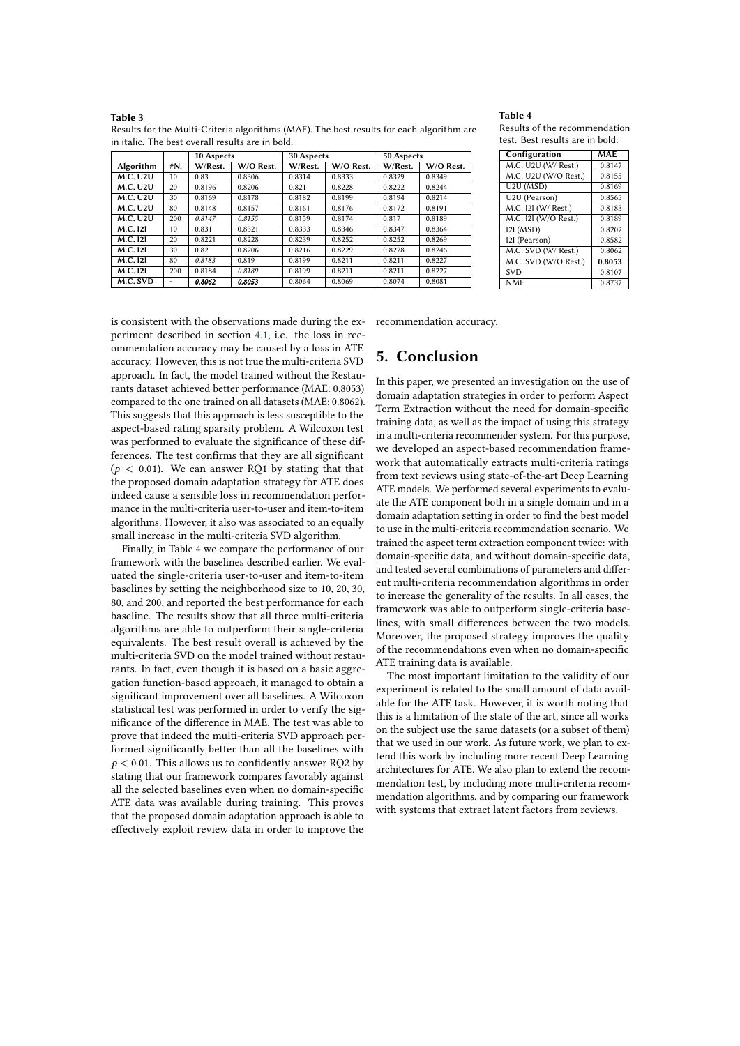#### <span id="page-7-0"></span>**Table 3**

|                 |     | 10 Aspects           |        | 30 Aspects |           | 50 Aspects           |        |  |
|-----------------|-----|----------------------|--------|------------|-----------|----------------------|--------|--|
| Algorithm       | #N. | W/O Rest.<br>W/Rest. |        | W/Rest.    | W/O Rest. | W/O Rest.<br>W/Rest. |        |  |
| <b>M.C. U2U</b> | 10  | 0.83                 | 0.8306 | 0.8314     | 0.8333    | 0.8329               | 0.8349 |  |
| <b>M.C. U2U</b> | 20  | 0.8196               | 0.8206 | 0.821      | 0.8228    | 0.8222               | 0.8244 |  |
| <b>M.C. U2U</b> | 30  | 0.8169               | 0.8178 | 0.8182     | 0.8199    | 0.8194               | 0.8214 |  |
| <b>M.C. U2U</b> | 80  | 0.8148               | 0.8157 | 0.8161     | 0.8176    | 0.8172               | 0.8191 |  |
| <b>M.C. U2U</b> | 200 | 0.8147               | 0.8155 | 0.8159     | 0.8174    | 0.817                | 0.8189 |  |
| <b>M.C. 121</b> | 10  | 0.831                | 0.8321 | 0.8333     | 0.8346    | 0.8347               | 0.8364 |  |
| <b>M.C. 121</b> | 20  | 0.8221               | 0.8228 | 0.8239     | 0.8252    | 0.8252               | 0.8269 |  |
| <b>M.C. 121</b> | 30  | 0.82                 | 0.8206 | 0.8216     | 0.8229    | 0.8228               | 0.8246 |  |
| <b>M.C. 121</b> | 80  | 0.8183               | 0.819  | 0.8199     | 0.8211    | 0.8211               | 0.8227 |  |
| <b>M.C. 121</b> | 200 | 0.8184               | 0.8189 | 0.8199     | 0.8211    | 0.8211               | 0.8227 |  |
| M.C. SVD        | ۰   | 0.8062               | 0.8053 | 0.8064     | 0.8069    | 0.8074               | 0.8081 |  |

Results for the Multi-Criteria algorithms (MAE). The best results for each algorithm are in italic. The best overall results are in bold.

### <span id="page-7-1"></span>**Table 4**

Results of the recommendation test. Best results are in bold.

| Configuration        | <b>MAE</b> |  |  |
|----------------------|------------|--|--|
| M.C. U2U (W/ Rest.)  | 0.8147     |  |  |
| M.C. U2U (W/O Rest.) | 0.8155     |  |  |
| $U2U$ (MSD)          | 0.8169     |  |  |
| U2U (Pearson)        | 0.8565     |  |  |
| M.C. 121 (W/ Rest.)  | 0.8183     |  |  |
| M.C. 121 (W/O Rest.) | 0.8189     |  |  |
| 121 (MSD)            | 0.8202     |  |  |
| 121 (Pearson)        | 0.8582     |  |  |
| M.C. SVD (W/ Rest.)  | 0.8062     |  |  |
| M.C. SVD (W/O Rest.) | 0.8053     |  |  |
| <b>SVD</b>           | 0.8107     |  |  |
| <b>NMF</b>           | 0.8737     |  |  |

is consistent with the observations made during the experiment described in section [4.1,](#page-4-2) i.e. the loss in recommendation accuracy may be caused by a loss in ATE accuracy. However, this is not true the multi-criteria SVD approach. In fact, the model trained without the Restaurants dataset achieved better performance (MAE: 0.8053) compared to the one trained on all datasets (MAE: 0.8062). This suggests that this approach is less susceptible to the aspect-based rating sparsity problem. A Wilcoxon test was performed to evaluate the significance of these differences. The test confirms that they are all significant ( $p < 0.01$ ). We can answer RQ1 by stating that that the proposed domain adaptation strategy for ATE does indeed cause a sensible loss in recommendation performance in the multi-criteria user-to-user and item-to-item algorithms. However, it also was associated to an equally small increase in the multi-criteria SVD algorithm.

Finally, in Table [4](#page-7-1) we compare the performance of our framework with the baselines described earlier. We evaluated the single-criteria user-to-user and item-to-item baselines by setting the neighborhood size to 10, 20, 30, 80, and 200, and reported the best performance for each baseline. The results show that all three multi-criteria algorithms are able to outperform their single-criteria equivalents. The best result overall is achieved by the multi-criteria SVD on the model trained without restaurants. In fact, even though it is based on a basic aggregation function-based approach, it managed to obtain a significant improvement over all baselines. A Wilcoxon statistical test was performed in order to verify the significance of the difference in MAE. The test was able to prove that indeed the multi-criteria SVD approach performed significantly better than all the baselines with  $p < 0.01$ . This allows us to confidently answer RQ2 by stating that our framework compares favorably against all the selected baselines even when no domain-specific ATE data was available during training. This proves that the proposed domain adaptation approach is able to effectively exploit review data in order to improve the

recommendation accuracy.

# **5. Conclusion**

In this paper, we presented an investigation on the use of domain adaptation strategies in order to perform Aspect Term Extraction without the need for domain-specific training data, as well as the impact of using this strategy in a multi-criteria recommender system. For this purpose, we developed an aspect-based recommendation framework that automatically extracts multi-criteria ratings from text reviews using state-of-the-art Deep Learning ATE models. We performed several experiments to evaluate the ATE component both in a single domain and in a domain adaptation setting in order to find the best model to use in the multi-criteria recommendation scenario. We trained the aspect term extraction component twice: with domain-specific data, and without domain-specific data, and tested several combinations of parameters and different multi-criteria recommendation algorithms in order to increase the generality of the results. In all cases, the framework was able to outperform single-criteria baselines, with small differences between the two models. Moreover, the proposed strategy improves the quality of the recommendations even when no domain-specific ATE training data is available.

The most important limitation to the validity of our experiment is related to the small amount of data available for the ATE task. However, it is worth noting that this is a limitation of the state of the art, since all works on the subject use the same datasets (or a subset of them) that we used in our work. As future work, we plan to extend this work by including more recent Deep Learning architectures for ATE. We also plan to extend the recommendation test, by including more multi-criteria recommendation algorithms, and by comparing our framework with systems that extract latent factors from reviews.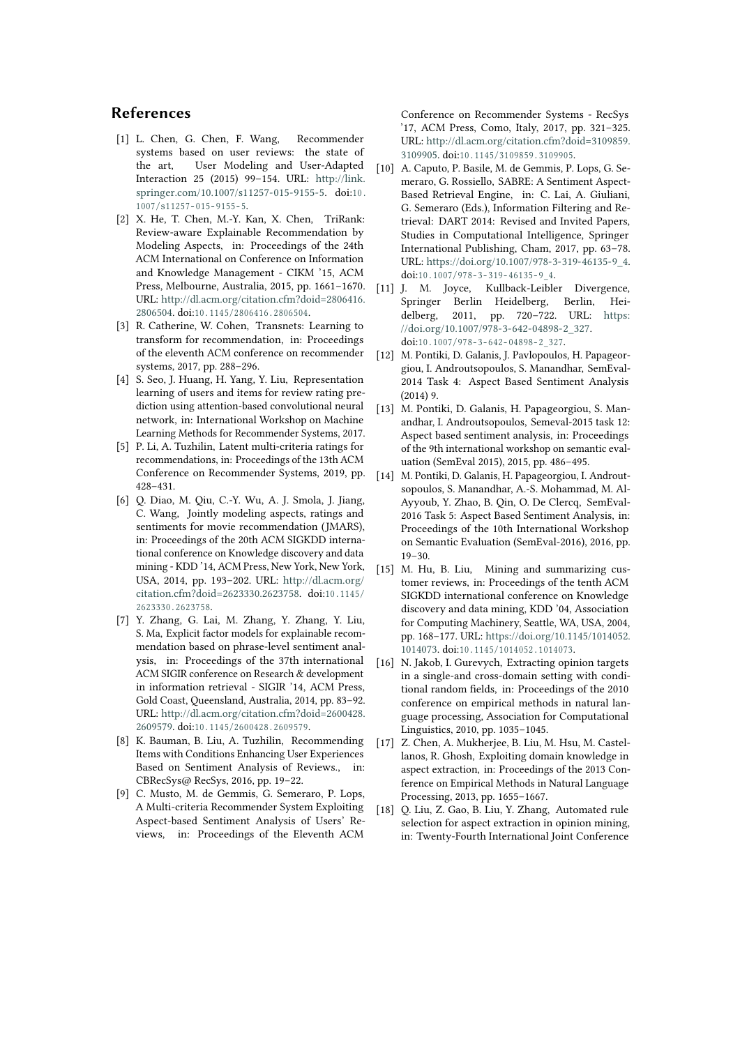# **References**

- <span id="page-8-0"></span>[1] L. Chen, G. Chen, F. Wang, Recommender systems based on user reviews: the state of the art, User Modeling and User-Adapted Interaction 25 (2015) 99–154. URL: [http://link.](http://link.springer.com/10.1007/s11257-015-9155-5) [springer.com/10.1007/s11257-015-9155-5.](http://link.springer.com/10.1007/s11257-015-9155-5) doi:10.  $1007 / s11257 - 015 - 9155 - 5.$
- <span id="page-8-1"></span>[2] X. He, T. Chen, M.-Y. Kan, X. Chen, TriRank: Review-aware Explainable Recommendation by Modeling Aspects, in: Proceedings of the 24th ACM International on Conference on Information and Knowledge Management - CIKM '15, ACM Press, Melbourne, Australia, 2015, pp. 1661–1670. URL: [http://dl.acm.org/citation.cfm?doid=2806416.](http://dl.acm.org/citation.cfm?doid=2806416.2806504) [2806504.](http://dl.acm.org/citation.cfm?doid=2806416.2806504) doi:10.1145/2806416.2806504.
- <span id="page-8-2"></span>[3] R. Catherine, W. Cohen, Transnets: Learning to transform for recommendation, in: Proceedings of the eleventh ACM conference on recommender systems, 2017, pp. 288–296.
- <span id="page-8-3"></span>[4] S. Seo, J. Huang, H. Yang, Y. Liu, Representation learning of users and items for review rating prediction using attention-based convolutional neural network, in: International Workshop on Machine Learning Methods for Recommender Systems, 2017.
- <span id="page-8-4"></span>[5] P. Li, A. Tuzhilin, Latent multi-criteria ratings for recommendations, in: Proceedings of the 13th ACM Conference on Recommender Systems, 2019, pp. 428–431.
- <span id="page-8-5"></span>[6] Q. Diao, M. Qiu, C.-Y. Wu, A. J. Smola, J. Jiang, C. Wang, Jointly modeling aspects, ratings and sentiments for movie recommendation (JMARS), in: Proceedings of the 20th ACM SIGKDD international conference on Knowledge discovery and data mining - KDD '14, ACM Press, New York, New York, USA, 2014, pp. 193–202. URL: [http://dl.acm.org/](http://dl.acm.org/citation.cfm?doid=2623330.2623758) [citation.cfm?doid=2623330.2623758.](http://dl.acm.org/citation.cfm?doid=2623330.2623758) doi:10.1145/ 26 2 3 3 3 0 . 2 6 2 3 7 5 8 .
- <span id="page-8-6"></span>[7] Y. Zhang, G. Lai, M. Zhang, Y. Zhang, Y. Liu, S. Ma, Explicit factor models for explainable recommendation based on phrase-level sentiment analysis, in: Proceedings of the 37th international ACM SIGIR conference on Research & development in information retrieval - SIGIR '14, ACM Press, Gold Coast, Queensland, Australia, 2014, pp. 83–92. URL: [http://dl.acm.org/citation.cfm?doid=2600428.](http://dl.acm.org/citation.cfm?doid=2600428.2609579) [2609579.](http://dl.acm.org/citation.cfm?doid=2600428.2609579) doi:10.1145/2600428.2609579.
- <span id="page-8-7"></span>[8] K. Bauman, B. Liu, A. Tuzhilin, Recommending Items with Conditions Enhancing User Experiences Based on Sentiment Analysis of Reviews., in: CBRecSys@ RecSys, 2016, pp. 19–22.
- <span id="page-8-8"></span>[9] C. Musto, M. de Gemmis, G. Semeraro, P. Lops, A Multi-criteria Recommender System Exploiting Aspect-based Sentiment Analysis of Users' Reviews, in: Proceedings of the Eleventh ACM

Conference on Recommender Systems - RecSys '17, ACM Press, Como, Italy, 2017, pp. 321–325. URL: [http://dl.acm.org/citation.cfm?doid=3109859.](http://dl.acm.org/citation.cfm?doid=3109859.3109905) [3109905.](http://dl.acm.org/citation.cfm?doid=3109859.3109905) doi:10.1145/3109859.3109905.

- <span id="page-8-9"></span>[10] A. Caputo, P. Basile, M. de Gemmis, P. Lops, G. Semeraro, G. Rossiello, SABRE: A Sentiment Aspect-Based Retrieval Engine, in: C. Lai, A. Giuliani, G. Semeraro (Eds.), Information Filtering and Retrieval: DART 2014: Revised and Invited Papers, Studies in Computational Intelligence, Springer International Publishing, Cham, 2017, pp. 63–78. URL: [https://doi.org/10.1007/978-3-319-46135-9\\_4.](https://doi.org/10.1007/978-3-319-46135-9_4) doi:10.1007/978-3-319-46135-9\_4.
- <span id="page-8-10"></span>[11] J. M. Joyce, Kullback-Leibler Divergence, Springer Berlin Heidelberg, Berlin, Heidelberg, 2011, pp. 720–722. URL: [https:](https://doi.org/10.1007/978-3-642-04898-2_327) [//doi.org/10.1007/978-3-642-04898-2\\_327.](https://doi.org/10.1007/978-3-642-04898-2_327) doi:10.1007/978-3-642-04898-2 327.
- <span id="page-8-11"></span>[12] M. Pontiki, D. Galanis, J. Pavlopoulos, H. Papageorgiou, I. Androutsopoulos, S. Manandhar, SemEval-2014 Task 4: Aspect Based Sentiment Analysis  $(2014)$  9.
- <span id="page-8-12"></span>[13] M. Pontiki, D. Galanis, H. Papageorgiou, S. Manandhar, I. Androutsopoulos, Semeval-2015 task 12: Aspect based sentiment analysis, in: Proceedings of the 9th international workshop on semantic evaluation (SemEval 2015), 2015, pp. 486–495.
- <span id="page-8-13"></span>[14] M. Pontiki, D. Galanis, H. Papageorgiou, I. Androutsopoulos, S. Manandhar, A.-S. Mohammad, M. Al-Ayyoub, Y. Zhao, B. Qin, O. De Clercq, SemEval-2016 Task 5: Aspect Based Sentiment Analysis, in: Proceedings of the 10th International Workshop on Semantic Evaluation (SemEval-2016), 2016, pp. 19–30.
- <span id="page-8-14"></span>[15] M. Hu, B. Liu, Mining and summarizing customer reviews, in: Proceedings of the tenth ACM SIGKDD international conference on Knowledge discovery and data mining, KDD '04, Association for Computing Machinery, Seattle, WA, USA, 2004, pp. 168–177. URL: [https://doi.org/10.1145/1014052.](https://doi.org/10.1145/1014052.1014073) [1014073.](https://doi.org/10.1145/1014052.1014073) doi:10.1145/1014052.1014073.
- <span id="page-8-15"></span>[16] N. Jakob, I. Gurevych, Extracting opinion targets in a single-and cross-domain setting with conditional random fields, in: Proceedings of the 2010 conference on empirical methods in natural language processing, Association for Computational Linguistics, 2010, pp. 1035–1045.
- <span id="page-8-16"></span>[17] Z. Chen, A. Mukherjee, B. Liu, M. Hsu, M. Castellanos, R. Ghosh, Exploiting domain knowledge in aspect extraction, in: Proceedings of the 2013 Conference on Empirical Methods in Natural Language Processing, 2013, pp. 1655–1667.
- <span id="page-8-17"></span>[18] Q. Liu, Z. Gao, B. Liu, Y. Zhang, Automated rule selection for aspect extraction in opinion mining, in: Twenty-Fourth International Joint Conference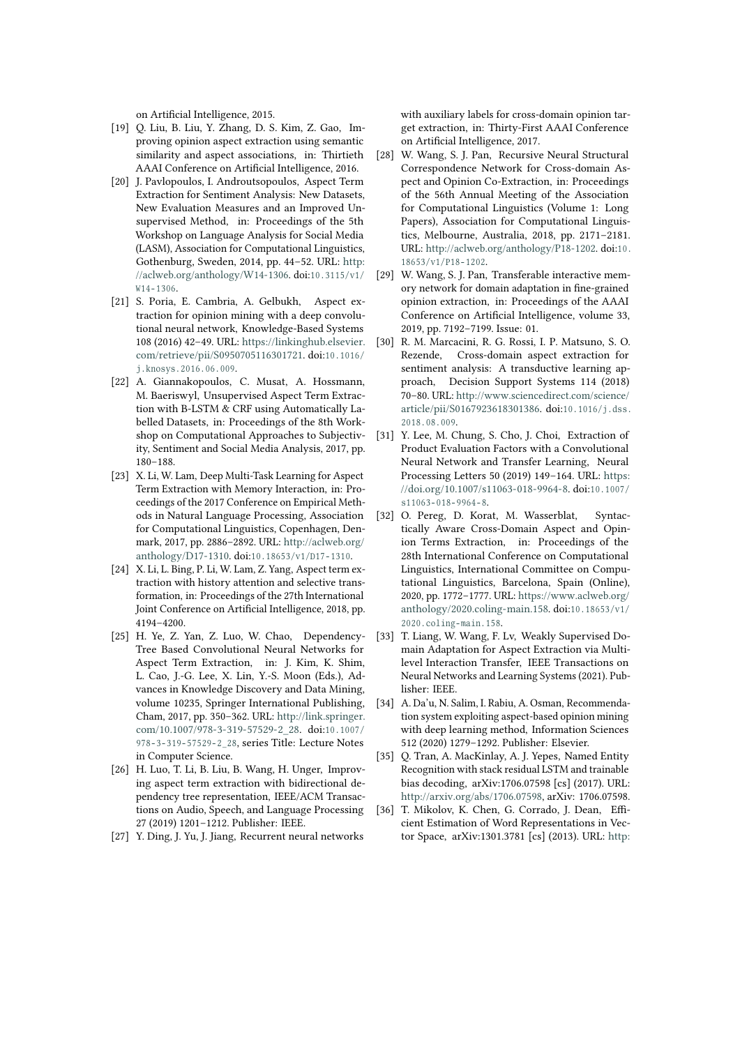on Artificial Intelligence, 2015.

- <span id="page-9-0"></span>[19] Q. Liu, B. Liu, Y. Zhang, D. S. Kim, Z. Gao, Improving opinion aspect extraction using semantic similarity and aspect associations, in: Thirtieth AAAI Conference on Artificial Intelligence, 2016.
- <span id="page-9-1"></span>[20] J. Pavlopoulos, I. Androutsopoulos, Aspect Term Extraction for Sentiment Analysis: New Datasets, New Evaluation Measures and an Improved Unsupervised Method, in: Proceedings of the 5th Workshop on Language Analysis for Social Media (LASM), Association for Computational Linguistics, Gothenburg, Sweden, 2014, pp. 44–52. URL: [http:](http://aclweb.org/anthology/W14-1306) [//aclweb.org/anthology/W14-1306.](http://aclweb.org/anthology/W14-1306) doi:10.3115/v1/  $W14 - 1306$ .
- <span id="page-9-2"></span>[21] S. Poria, E. Cambria, A. Gelbukh, Aspect extraction for opinion mining with a deep convolutional neural network, Knowledge-Based Systems 108 (2016) 42–49. URL: [https://linkinghub.elsevier.](https://linkinghub.elsevier.com/retrieve/pii/S0950705116301721) [com/retrieve/pii/S0950705116301721.](https://linkinghub.elsevier.com/retrieve/pii/S0950705116301721) doi:10.1016/ j. knosys. 2016.06.009.
- <span id="page-9-3"></span>[22] A. Giannakopoulos, C. Musat, A. Hossmann, M. Baeriswyl, Unsupervised Aspect Term Extraction with B-LSTM & CRF using Automatically Labelled Datasets, in: Proceedings of the 8th Workshop on Computational Approaches to Subjectivity, Sentiment and Social Media Analysis, 2017, pp. 180–188.
- <span id="page-9-4"></span>[23] X. Li, W. Lam, Deep Multi-Task Learning for Aspect Term Extraction with Memory Interaction, in: Proceedings of the 2017 Conference on Empirical Methods in Natural Language Processing, Association for Computational Linguistics, Copenhagen, Denmark, 2017, pp. 2886–2892. URL: [http://aclweb.org/](http://aclweb.org/anthology/D17-1310) [anthology/D17-1310.](http://aclweb.org/anthology/D17-1310) doi:10.18653/v1/D17-1310.
- <span id="page-9-5"></span>[24] X. Li, L. Bing, P. Li, W. Lam, Z. Yang, Aspect term extraction with history attention and selective transformation, in: Proceedings of the 27th International Joint Conference on Artificial Intelligence, 2018, pp. 4194–4200.
- <span id="page-9-6"></span>[25] H. Ye, Z. Yan, Z. Luo, W. Chao, Dependency-Tree Based Convolutional Neural Networks for Aspect Term Extraction, in: J. Kim, K. Shim, L. Cao, J.-G. Lee, X. Lin, Y.-S. Moon (Eds.), Advances in Knowledge Discovery and Data Mining, volume 10235, Springer International Publishing, Cham, 2017, pp. 350–362. URL: [http://link.springer.](http://link.springer.com/10.1007/978-3-319-57529-2_28) [com/10.1007/978-3-319-57529-2\\_28.](http://link.springer.com/10.1007/978-3-319-57529-2_28) doi:10.1007/ 978-3-319-57529-2 28, series Title: Lecture Notes in Computer Science.
- <span id="page-9-7"></span>[26] H. Luo, T. Li, B. Liu, B. Wang, H. Unger, Improving aspect term extraction with bidirectional dependency tree representation, IEEE/ACM Transactions on Audio, Speech, and Language Processing 27 (2019) 1201–1212. Publisher: IEEE.
- <span id="page-9-8"></span>[27] Y. Ding, J. Yu, J. Jiang, Recurrent neural networks

with auxiliary labels for cross-domain opinion target extraction, in: Thirty-First AAAI Conference on Artificial Intelligence, 2017.

- <span id="page-9-9"></span>[28] W. Wang, S. J. Pan, Recursive Neural Structural Correspondence Network for Cross-domain Aspect and Opinion Co-Extraction, in: Proceedings of the 56th Annual Meeting of the Association for Computational Linguistics (Volume 1: Long Papers), Association for Computational Linguistics, Melbourne, Australia, 2018, pp. 2171–2181. URL: [http://aclweb.org/anthology/P18-1202.](http://aclweb.org/anthology/P18-1202) doi:10. 18653/v1/P18-1202.
- <span id="page-9-10"></span>[29] W. Wang, S. J. Pan, Transferable interactive memory network for domain adaptation in fine-grained opinion extraction, in: Proceedings of the AAAI Conference on Artificial Intelligence, volume 33, 2019, pp. 7192–7199. Issue: 01.
- <span id="page-9-11"></span>[30] R. M. Marcacini, R. G. Rossi, I. P. Matsuno, S. O. Rezende, Cross-domain aspect extraction for sentiment analysis: A transductive learning approach, Decision Support Systems 114 (2018) 70–80. URL: [http://www.sciencedirect.com/science/](http://www.sciencedirect.com/science/article/pii/S0167923618301386) [article/pii/S0167923618301386.](http://www.sciencedirect.com/science/article/pii/S0167923618301386) doi:10.1016/j.dss. 2018.08.009.
- <span id="page-9-12"></span>[31] Y. Lee, M. Chung, S. Cho, J. Choi, Extraction of Product Evaluation Factors with a Convolutional Neural Network and Transfer Learning, Neural Processing Letters 50 (2019) 149–164. URL: [https:](https://doi.org/10.1007/s11063-018-9964-8) [//doi.org/10.1007/s11063-018-9964-8.](https://doi.org/10.1007/s11063-018-9964-8) doi:10.1007/  $s11063 - 018 - 9964 - 8.$
- <span id="page-9-13"></span>[32] O. Pereg, D. Korat, M. Wasserblat, Syntactically Aware Cross-Domain Aspect and Opinion Terms Extraction, in: Proceedings of the 28th International Conference on Computational Linguistics, International Committee on Computational Linguistics, Barcelona, Spain (Online), 2020, pp. 1772–1777. URL: [https://www.aclweb.org/](https://www.aclweb.org/anthology/2020.coling-main.158) [anthology/2020.coling-main.158.](https://www.aclweb.org/anthology/2020.coling-main.158) doi:10.18653/v1/ 2020.coling-main.158.
- <span id="page-9-14"></span>[33] T. Liang, W. Wang, F. Lv, Weakly Supervised Domain Adaptation for Aspect Extraction via Multilevel Interaction Transfer, IEEE Transactions on Neural Networks and Learning Systems (2021). Publisher: IEEE.
- <span id="page-9-15"></span>[34] A. Da'u, N. Salim, I. Rabiu, A. Osman, Recommendation system exploiting aspect-based opinion mining with deep learning method, Information Sciences 512 (2020) 1279–1292. Publisher: Elsevier.
- <span id="page-9-16"></span>[35] O. Tran, A. MacKinlay, A. J. Yepes, Named Entity Recognition with stack residual LSTM and trainable bias decoding, arXiv:1706.07598 [cs] (2017). URL: [http://arxiv.org/abs/1706.07598,](http://arxiv.org/abs/1706.07598) arXiv: 1706.07598.
- <span id="page-9-17"></span>[36] T. Mikolov, K. Chen, G. Corrado, J. Dean, Efficient Estimation of Word Representations in Vector Space, arXiv:1301.3781 [cs] (2013). URL: [http:](http://arxiv.org/abs/1301.3781)